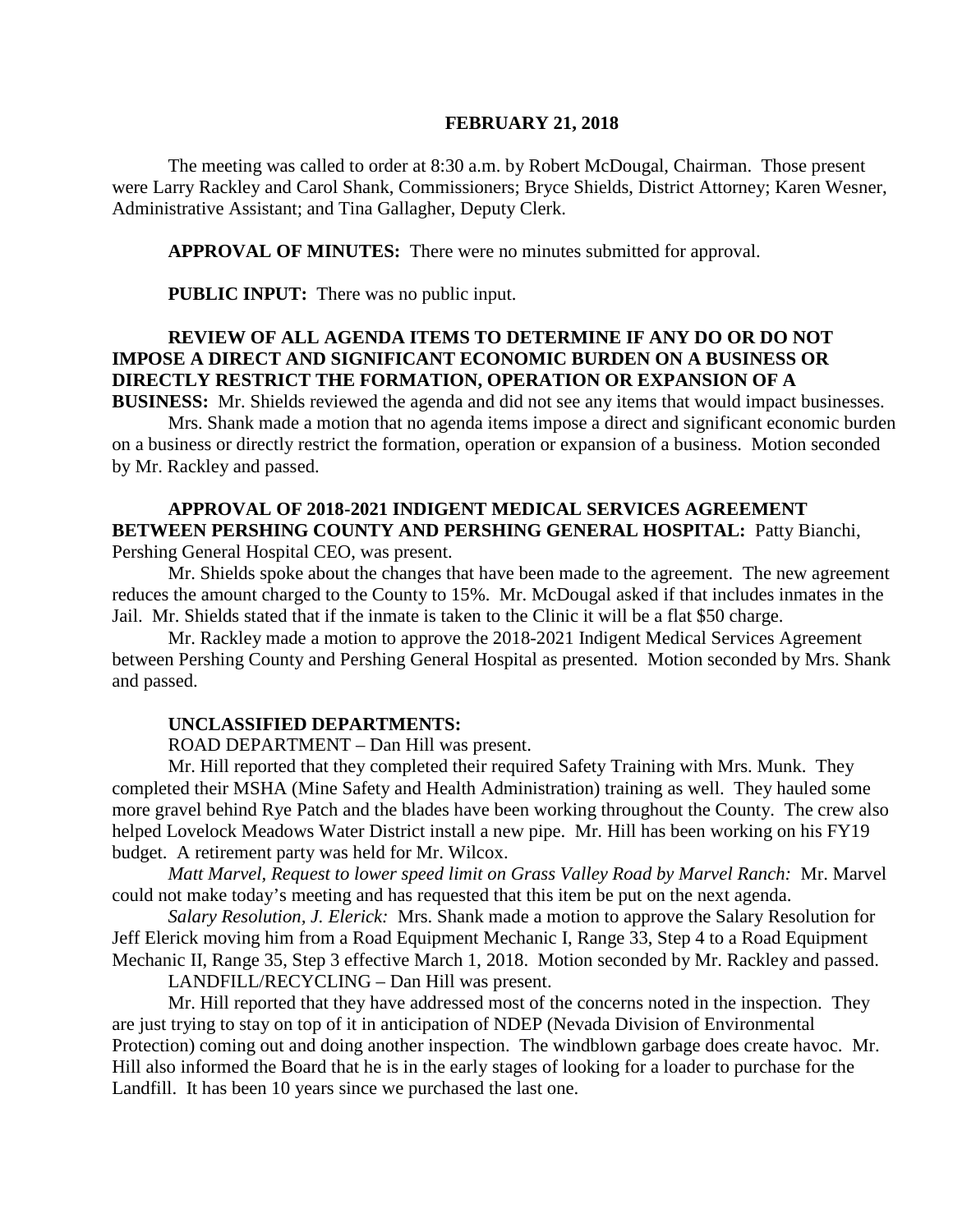#### **FEBRUARY 21, 2018**

The meeting was called to order at 8:30 a.m. by Robert McDougal, Chairman. Those present were Larry Rackley and Carol Shank, Commissioners; Bryce Shields, District Attorney; Karen Wesner, Administrative Assistant; and Tina Gallagher, Deputy Clerk.

**APPROVAL OF MINUTES:** There were no minutes submitted for approval.

**PUBLIC INPUT:** There was no public input.

# **REVIEW OF ALL AGENDA ITEMS TO DETERMINE IF ANY DO OR DO NOT IMPOSE A DIRECT AND SIGNIFICANT ECONOMIC BURDEN ON A BUSINESS OR DIRECTLY RESTRICT THE FORMATION, OPERATION OR EXPANSION OF A**

**BUSINESS:** Mr. Shields reviewed the agenda and did not see any items that would impact businesses. Mrs. Shank made a motion that no agenda items impose a direct and significant economic burden on a business or directly restrict the formation, operation or expansion of a business. Motion seconded by Mr. Rackley and passed.

### **APPROVAL OF 2018-2021 INDIGENT MEDICAL SERVICES AGREEMENT BETWEEN PERSHING COUNTY AND PERSHING GENERAL HOSPITAL:** Patty Bianchi, Pershing General Hospital CEO, was present.

Mr. Shields spoke about the changes that have been made to the agreement. The new agreement reduces the amount charged to the County to 15%. Mr. McDougal asked if that includes inmates in the Jail. Mr. Shields stated that if the inmate is taken to the Clinic it will be a flat \$50 charge.

Mr. Rackley made a motion to approve the 2018-2021 Indigent Medical Services Agreement between Pershing County and Pershing General Hospital as presented. Motion seconded by Mrs. Shank and passed.

### **UNCLASSIFIED DEPARTMENTS:**

ROAD DEPARTMENT – Dan Hill was present.

Mr. Hill reported that they completed their required Safety Training with Mrs. Munk. They completed their MSHA (Mine Safety and Health Administration) training as well. They hauled some more gravel behind Rye Patch and the blades have been working throughout the County. The crew also helped Lovelock Meadows Water District install a new pipe. Mr. Hill has been working on his FY19 budget. A retirement party was held for Mr. Wilcox.

*Matt Marvel, Request to lower speed limit on Grass Valley Road by Marvel Ranch:* Mr. Marvel could not make today's meeting and has requested that this item be put on the next agenda.

*Salary Resolution, J. Elerick:* Mrs. Shank made a motion to approve the Salary Resolution for Jeff Elerick moving him from a Road Equipment Mechanic I, Range 33, Step 4 to a Road Equipment Mechanic II, Range 35, Step 3 effective March 1, 2018. Motion seconded by Mr. Rackley and passed.

LANDFILL/RECYCLING – Dan Hill was present.

Mr. Hill reported that they have addressed most of the concerns noted in the inspection. They are just trying to stay on top of it in anticipation of NDEP (Nevada Division of Environmental Protection) coming out and doing another inspection. The windblown garbage does create havoc. Mr. Hill also informed the Board that he is in the early stages of looking for a loader to purchase for the Landfill. It has been 10 years since we purchased the last one.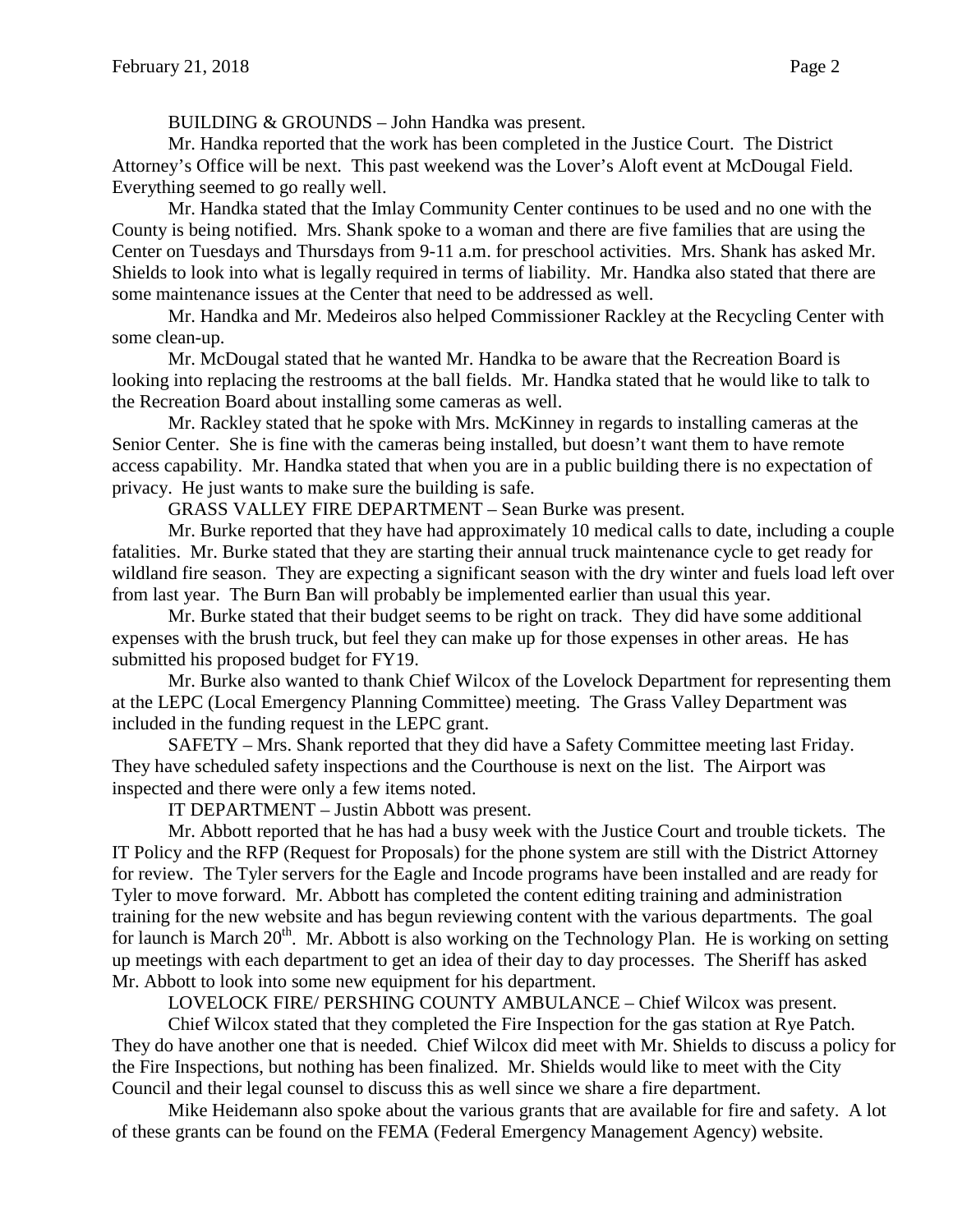BUILDING & GROUNDS – John Handka was present.

Mr. Handka reported that the work has been completed in the Justice Court. The District Attorney's Office will be next. This past weekend was the Lover's Aloft event at McDougal Field. Everything seemed to go really well.

Mr. Handka stated that the Imlay Community Center continues to be used and no one with the County is being notified. Mrs. Shank spoke to a woman and there are five families that are using the Center on Tuesdays and Thursdays from 9-11 a.m. for preschool activities. Mrs. Shank has asked Mr. Shields to look into what is legally required in terms of liability. Mr. Handka also stated that there are some maintenance issues at the Center that need to be addressed as well.

Mr. Handka and Mr. Medeiros also helped Commissioner Rackley at the Recycling Center with some clean-up.

Mr. McDougal stated that he wanted Mr. Handka to be aware that the Recreation Board is looking into replacing the restrooms at the ball fields. Mr. Handka stated that he would like to talk to the Recreation Board about installing some cameras as well.

Mr. Rackley stated that he spoke with Mrs. McKinney in regards to installing cameras at the Senior Center. She is fine with the cameras being installed, but doesn't want them to have remote access capability. Mr. Handka stated that when you are in a public building there is no expectation of privacy. He just wants to make sure the building is safe.

GRASS VALLEY FIRE DEPARTMENT – Sean Burke was present.

Mr. Burke reported that they have had approximately 10 medical calls to date, including a couple fatalities. Mr. Burke stated that they are starting their annual truck maintenance cycle to get ready for wildland fire season. They are expecting a significant season with the dry winter and fuels load left over from last year. The Burn Ban will probably be implemented earlier than usual this year.

Mr. Burke stated that their budget seems to be right on track. They did have some additional expenses with the brush truck, but feel they can make up for those expenses in other areas. He has submitted his proposed budget for FY19.

Mr. Burke also wanted to thank Chief Wilcox of the Lovelock Department for representing them at the LEPC (Local Emergency Planning Committee) meeting. The Grass Valley Department was included in the funding request in the LEPC grant.

SAFETY – Mrs. Shank reported that they did have a Safety Committee meeting last Friday. They have scheduled safety inspections and the Courthouse is next on the list. The Airport was inspected and there were only a few items noted.

IT DEPARTMENT – Justin Abbott was present.

Mr. Abbott reported that he has had a busy week with the Justice Court and trouble tickets. The IT Policy and the RFP (Request for Proposals) for the phone system are still with the District Attorney for review. The Tyler servers for the Eagle and Incode programs have been installed and are ready for Tyler to move forward. Mr. Abbott has completed the content editing training and administration training for the new website and has begun reviewing content with the various departments. The goal for launch is March  $20^{th}$ . Mr. Abbott is also working on the Technology Plan. He is working on setting up meetings with each department to get an idea of their day to day processes. The Sheriff has asked Mr. Abbott to look into some new equipment for his department.

LOVELOCK FIRE/ PERSHING COUNTY AMBULANCE – Chief Wilcox was present.

Chief Wilcox stated that they completed the Fire Inspection for the gas station at Rye Patch. They do have another one that is needed. Chief Wilcox did meet with Mr. Shields to discuss a policy for the Fire Inspections, but nothing has been finalized. Mr. Shields would like to meet with the City Council and their legal counsel to discuss this as well since we share a fire department.

Mike Heidemann also spoke about the various grants that are available for fire and safety. A lot of these grants can be found on the FEMA (Federal Emergency Management Agency) website.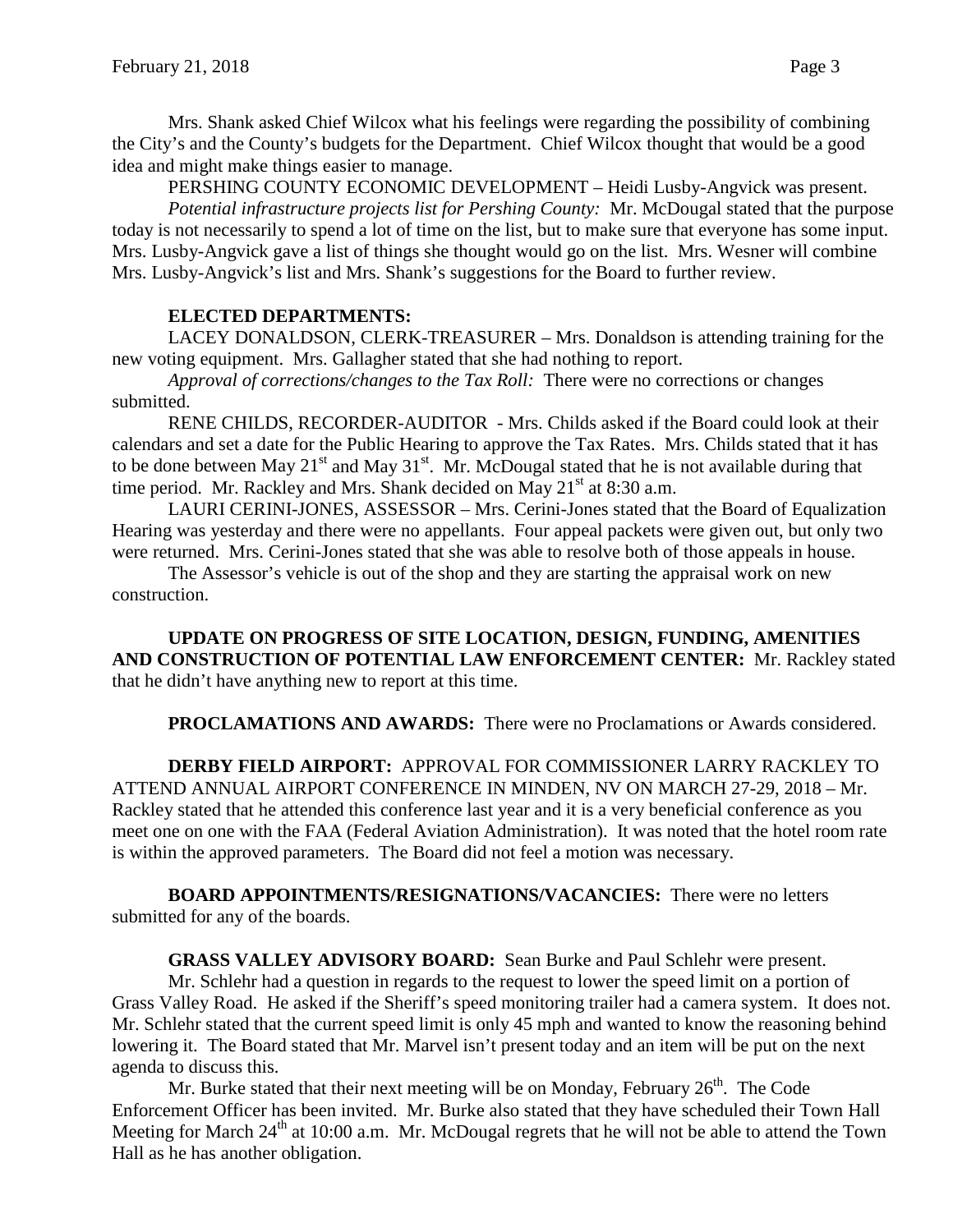Mrs. Shank asked Chief Wilcox what his feelings were regarding the possibility of combining the City's and the County's budgets for the Department. Chief Wilcox thought that would be a good idea and might make things easier to manage.

PERSHING COUNTY ECONOMIC DEVELOPMENT – Heidi Lusby-Angvick was present.

*Potential infrastructure projects list for Pershing County:* Mr. McDougal stated that the purpose today is not necessarily to spend a lot of time on the list, but to make sure that everyone has some input. Mrs. Lusby-Angvick gave a list of things she thought would go on the list. Mrs. Wesner will combine Mrs. Lusby-Angvick's list and Mrs. Shank's suggestions for the Board to further review.

## **ELECTED DEPARTMENTS:**

LACEY DONALDSON, CLERK-TREASURER – Mrs. Donaldson is attending training for the new voting equipment. Mrs. Gallagher stated that she had nothing to report.

*Approval of corrections/changes to the Tax Roll:* There were no corrections or changes submitted.

RENE CHILDS, RECORDER-AUDITOR - Mrs. Childs asked if the Board could look at their calendars and set a date for the Public Hearing to approve the Tax Rates. Mrs. Childs stated that it has to be done between May  $21<sup>st</sup>$  and May  $31<sup>st</sup>$ . Mr. McDougal stated that he is not available during that time period. Mr. Rackley and Mrs. Shank decided on May  $21<sup>st</sup>$  at 8:30 a.m.

LAURI CERINI-JONES, ASSESSOR – Mrs. Cerini-Jones stated that the Board of Equalization Hearing was yesterday and there were no appellants. Four appeal packets were given out, but only two were returned. Mrs. Cerini-Jones stated that she was able to resolve both of those appeals in house.

The Assessor's vehicle is out of the shop and they are starting the appraisal work on new construction.

**UPDATE ON PROGRESS OF SITE LOCATION, DESIGN, FUNDING, AMENITIES AND CONSTRUCTION OF POTENTIAL LAW ENFORCEMENT CENTER:** Mr. Rackley stated that he didn't have anything new to report at this time.

**PROCLAMATIONS AND AWARDS:** There were no Proclamations or Awards considered.

**DERBY FIELD AIRPORT:** APPROVAL FOR COMMISSIONER LARRY RACKLEY TO ATTEND ANNUAL AIRPORT CONFERENCE IN MINDEN, NV ON MARCH 27-29, 2018 – Mr. Rackley stated that he attended this conference last year and it is a very beneficial conference as you meet one on one with the FAA (Federal Aviation Administration). It was noted that the hotel room rate is within the approved parameters. The Board did not feel a motion was necessary.

**BOARD APPOINTMENTS/RESIGNATIONS/VACANCIES:** There were no letters submitted for any of the boards.

**GRASS VALLEY ADVISORY BOARD:** Sean Burke and Paul Schlehr were present.

Mr. Schlehr had a question in regards to the request to lower the speed limit on a portion of Grass Valley Road. He asked if the Sheriff's speed monitoring trailer had a camera system. It does not. Mr. Schlehr stated that the current speed limit is only 45 mph and wanted to know the reasoning behind lowering it. The Board stated that Mr. Marvel isn't present today and an item will be put on the next agenda to discuss this.

Mr. Burke stated that their next meeting will be on Monday, February  $26<sup>th</sup>$ . The Code Enforcement Officer has been invited. Mr. Burke also stated that they have scheduled their Town Hall Meeting for March  $24<sup>th</sup>$  at 10:00 a.m. Mr. McDougal regrets that he will not be able to attend the Town Hall as he has another obligation.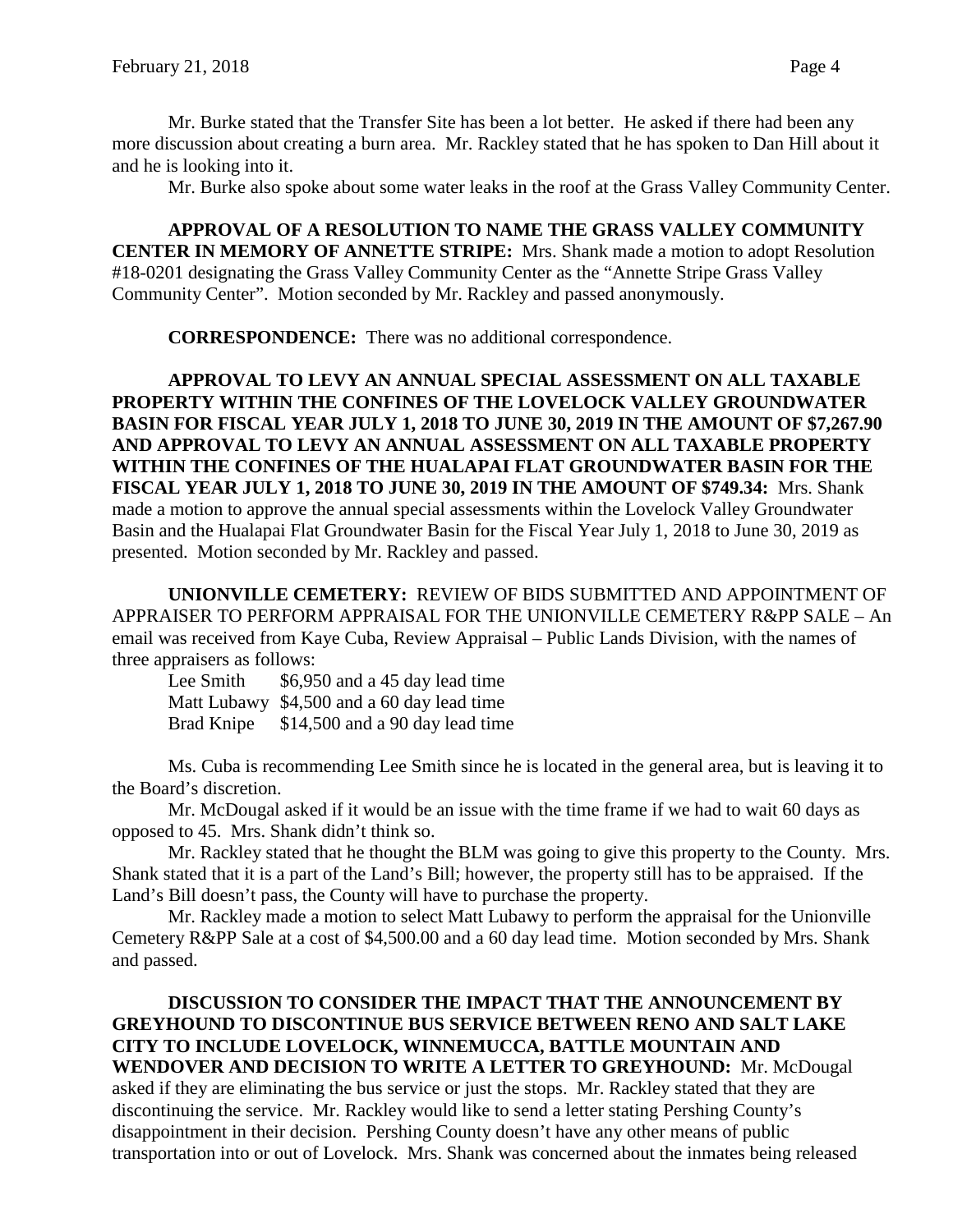Mr. Burke stated that the Transfer Site has been a lot better. He asked if there had been any more discussion about creating a burn area. Mr. Rackley stated that he has spoken to Dan Hill about it and he is looking into it.

Mr. Burke also spoke about some water leaks in the roof at the Grass Valley Community Center.

**APPROVAL OF A RESOLUTION TO NAME THE GRASS VALLEY COMMUNITY CENTER IN MEMORY OF ANNETTE STRIPE:** Mrs. Shank made a motion to adopt Resolution #18-0201 designating the Grass Valley Community Center as the "Annette Stripe Grass Valley Community Center". Motion seconded by Mr. Rackley and passed anonymously.

**CORRESPONDENCE:** There was no additional correspondence.

**APPROVAL TO LEVY AN ANNUAL SPECIAL ASSESSMENT ON ALL TAXABLE PROPERTY WITHIN THE CONFINES OF THE LOVELOCK VALLEY GROUNDWATER BASIN FOR FISCAL YEAR JULY 1, 2018 TO JUNE 30, 2019 IN THE AMOUNT OF \$7,267.90 AND APPROVAL TO LEVY AN ANNUAL ASSESSMENT ON ALL TAXABLE PROPERTY WITHIN THE CONFINES OF THE HUALAPAI FLAT GROUNDWATER BASIN FOR THE FISCAL YEAR JULY 1, 2018 TO JUNE 30, 2019 IN THE AMOUNT OF \$749.34:** Mrs. Shank made a motion to approve the annual special assessments within the Lovelock Valley Groundwater Basin and the Hualapai Flat Groundwater Basin for the Fiscal Year July 1, 2018 to June 30, 2019 as presented. Motion seconded by Mr. Rackley and passed.

**UNIONVILLE CEMETERY:** REVIEW OF BIDS SUBMITTED AND APPOINTMENT OF APPRAISER TO PERFORM APPRAISAL FOR THE UNIONVILLE CEMETERY R&PP SALE – An email was received from Kaye Cuba, Review Appraisal – Public Lands Division, with the names of three appraisers as follows:

Lee Smith  $$6,950$  and a 45 day lead time Matt Lubawy \$4,500 and a 60 day lead time Brad Knipe \$14,500 and a 90 day lead time

Ms. Cuba is recommending Lee Smith since he is located in the general area, but is leaving it to the Board's discretion.

Mr. McDougal asked if it would be an issue with the time frame if we had to wait 60 days as opposed to 45. Mrs. Shank didn't think so.

Mr. Rackley stated that he thought the BLM was going to give this property to the County. Mrs. Shank stated that it is a part of the Land's Bill; however, the property still has to be appraised. If the Land's Bill doesn't pass, the County will have to purchase the property.

Mr. Rackley made a motion to select Matt Lubawy to perform the appraisal for the Unionville Cemetery R&PP Sale at a cost of \$4,500.00 and a 60 day lead time. Motion seconded by Mrs. Shank and passed.

**DISCUSSION TO CONSIDER THE IMPACT THAT THE ANNOUNCEMENT BY GREYHOUND TO DISCONTINUE BUS SERVICE BETWEEN RENO AND SALT LAKE CITY TO INCLUDE LOVELOCK, WINNEMUCCA, BATTLE MOUNTAIN AND WENDOVER AND DECISION TO WRITE A LETTER TO GREYHOUND:** Mr. McDougal asked if they are eliminating the bus service or just the stops. Mr. Rackley stated that they are discontinuing the service. Mr. Rackley would like to send a letter stating Pershing County's disappointment in their decision. Pershing County doesn't have any other means of public transportation into or out of Lovelock. Mrs. Shank was concerned about the inmates being released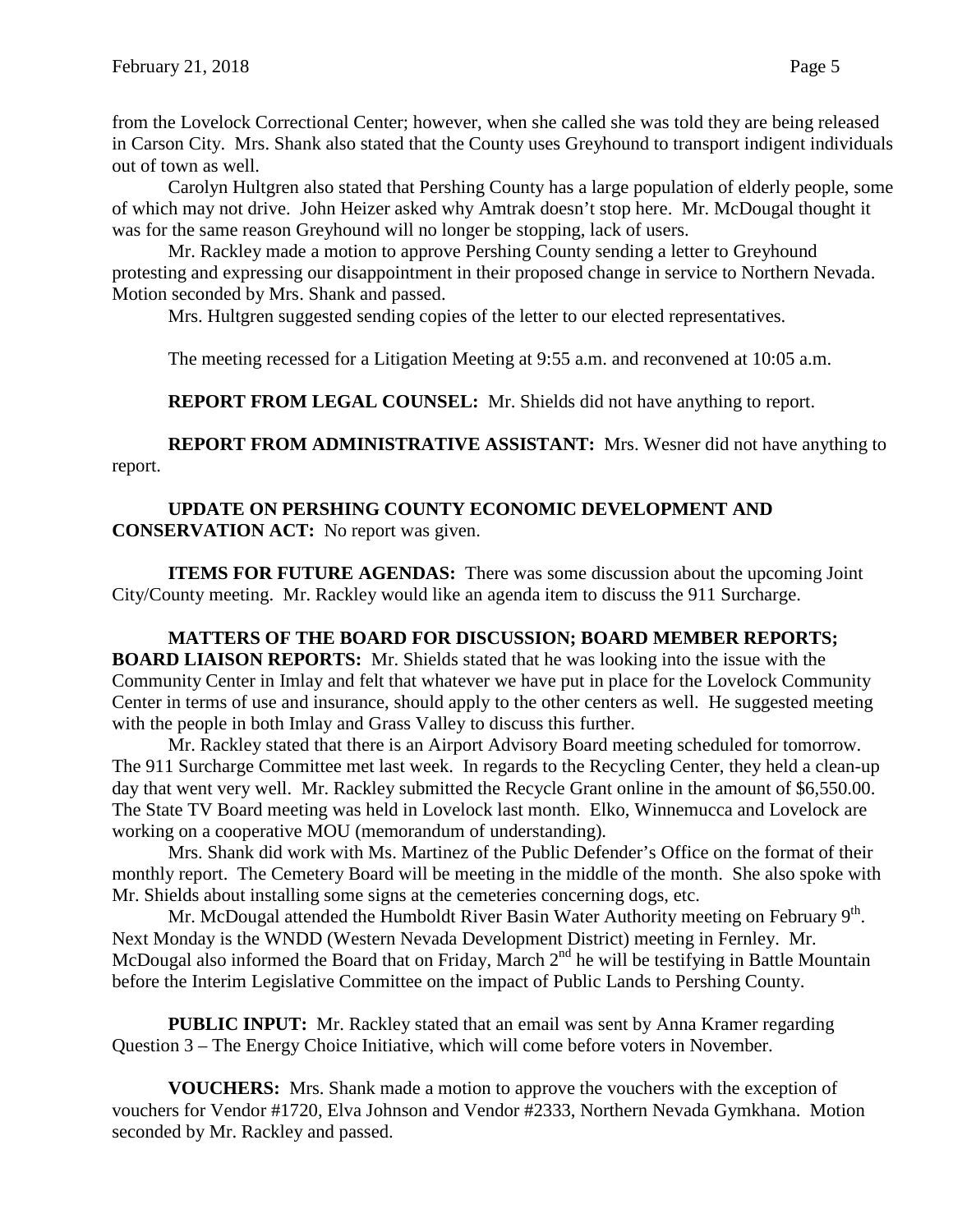from the Lovelock Correctional Center; however, when she called she was told they are being released in Carson City. Mrs. Shank also stated that the County uses Greyhound to transport indigent individuals out of town as well.

Carolyn Hultgren also stated that Pershing County has a large population of elderly people, some of which may not drive. John Heizer asked why Amtrak doesn't stop here. Mr. McDougal thought it was for the same reason Greyhound will no longer be stopping, lack of users.

Mr. Rackley made a motion to approve Pershing County sending a letter to Greyhound protesting and expressing our disappointment in their proposed change in service to Northern Nevada. Motion seconded by Mrs. Shank and passed.

Mrs. Hultgren suggested sending copies of the letter to our elected representatives.

The meeting recessed for a Litigation Meeting at 9:55 a.m. and reconvened at 10:05 a.m.

**REPORT FROM LEGAL COUNSEL:** Mr. Shields did not have anything to report.

**REPORT FROM ADMINISTRATIVE ASSISTANT:** Mrs. Wesner did not have anything to report.

### **UPDATE ON PERSHING COUNTY ECONOMIC DEVELOPMENT AND CONSERVATION ACT:** No report was given.

**ITEMS FOR FUTURE AGENDAS:** There was some discussion about the upcoming Joint City/County meeting. Mr. Rackley would like an agenda item to discuss the 911 Surcharge.

**MATTERS OF THE BOARD FOR DISCUSSION; BOARD MEMBER REPORTS; BOARD LIAISON REPORTS:** Mr. Shields stated that he was looking into the issue with the Community Center in Imlay and felt that whatever we have put in place for the Lovelock Community Center in terms of use and insurance, should apply to the other centers as well. He suggested meeting with the people in both Imlay and Grass Valley to discuss this further.

Mr. Rackley stated that there is an Airport Advisory Board meeting scheduled for tomorrow. The 911 Surcharge Committee met last week. In regards to the Recycling Center, they held a clean-up day that went very well. Mr. Rackley submitted the Recycle Grant online in the amount of \$6,550.00. The State TV Board meeting was held in Lovelock last month. Elko, Winnemucca and Lovelock are working on a cooperative MOU (memorandum of understanding).

Mrs. Shank did work with Ms. Martinez of the Public Defender's Office on the format of their monthly report. The Cemetery Board will be meeting in the middle of the month. She also spoke with Mr. Shields about installing some signs at the cemeteries concerning dogs, etc.

Mr. McDougal attended the Humboldt River Basin Water Authority meeting on February 9<sup>th</sup>. Next Monday is the WNDD (Western Nevada Development District) meeting in Fernley. Mr. McDougal also informed the Board that on Friday, March  $2<sup>nd</sup>$  he will be testifying in Battle Mountain before the Interim Legislative Committee on the impact of Public Lands to Pershing County.

**PUBLIC INPUT:** Mr. Rackley stated that an email was sent by Anna Kramer regarding Question 3 – The Energy Choice Initiative, which will come before voters in November.

**VOUCHERS:** Mrs. Shank made a motion to approve the vouchers with the exception of vouchers for Vendor #1720, Elva Johnson and Vendor #2333, Northern Nevada Gymkhana. Motion seconded by Mr. Rackley and passed.